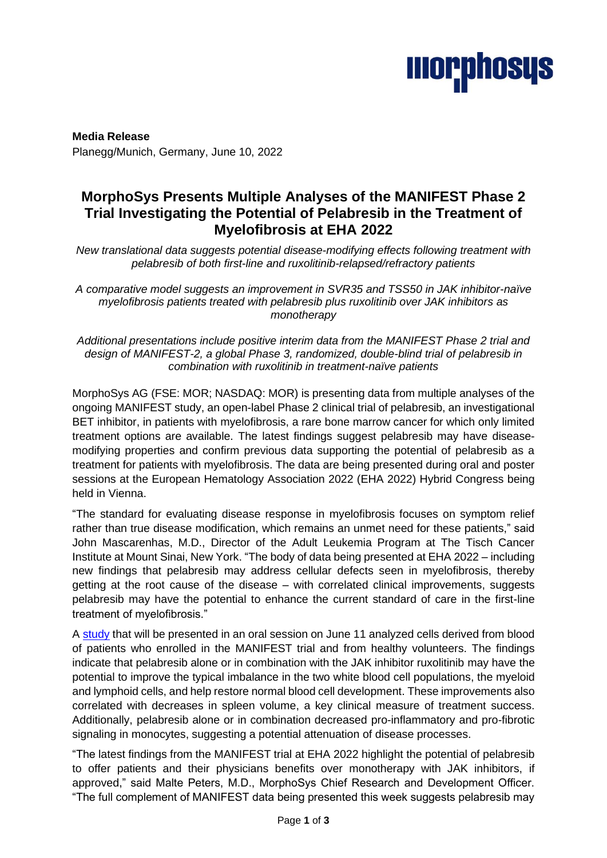

**Media Release** Planegg/Munich, Germany, June 10, 2022

# **MorphoSys Presents Multiple Analyses of the MANIFEST Phase 2 Trial Investigating the Potential of Pelabresib in the Treatment of Myelofibrosis at EHA 2022**

*New translational data suggests potential disease-modifying effects following treatment with pelabresib of both first-line and ruxolitinib-relapsed/refractory patients* 

*A comparative model suggests an improvement in SVR35 and TSS50 in JAK inhibitor-naïve myelofibrosis patients treated with pelabresib plus ruxolitinib over JAK inhibitors as monotherapy*

*Additional presentations include positive interim data from the MANIFEST Phase 2 trial and design of MANIFEST-2, a global Phase 3, randomized, double-blind trial of pelabresib in combination with ruxolitinib in treatment-naïve patients*

MorphoSys AG (FSE: MOR; NASDAQ: MOR) is presenting data from multiple analyses of the ongoing MANIFEST study, an open-label Phase 2 clinical trial of pelabresib, an investigational BET inhibitor, in patients with myelofibrosis, a rare bone marrow cancer for which only limited treatment options are available. The latest findings suggest pelabresib may have diseasemodifying properties and confirm previous data supporting the potential of pelabresib as a treatment for patients with myelofibrosis. The data are being presented during oral and poster sessions at the European Hematology Association 2022 (EHA 2022) Hybrid Congress being held in Vienna.

"The standard for evaluating disease response in myelofibrosis focuses on symptom relief rather than true disease modification, which remains an unmet need for these patients," said John Mascarenhas, M.D., Director of the Adult Leukemia Program at The Tisch Cancer Institute at Mount Sinai, New York. "The body of data being presented at EHA 2022 – including new findings that pelabresib may address cellular defects seen in myelofibrosis, thereby getting at the root cause of the disease – with correlated clinical improvements, suggests pelabresib may have the potential to enhance the current standard of care in the first-line treatment of myelofibrosis."

A [study](https://library.ehaweb.org/eha/2022/eha2022-congress/357056/oksana.zavidij.single-cell.rna.profiling.of.myelofibrosis.patients.reveals.html?f=listing%3D0%2Abrowseby%3D8%2Asortby%3D1%2Adate%3D2022-06-04+15%3A55%3A51%2C2022-06-07+15%3A55%3A34%2Asearch%3Dpelabresib) that will be presented in an oral session on June 11 analyzed cells derived from blood of patients who enrolled in the MANIFEST trial and from healthy volunteers. The findings indicate that pelabresib alone or in combination with the JAK inhibitor ruxolitinib may have the potential to improve the typical imbalance in the two white blood cell populations, the myeloid and lymphoid cells, and help restore normal blood cell development. These improvements also correlated with decreases in spleen volume, a key clinical measure of treatment success. Additionally, pelabresib alone or in combination decreased pro-inflammatory and pro-fibrotic signaling in monocytes, suggesting a potential attenuation of disease processes.

"The latest findings from the MANIFEST trial at EHA 2022 highlight the potential of pelabresib to offer patients and their physicians benefits over monotherapy with JAK inhibitors, if approved," said Malte Peters, M.D., MorphoSys Chief Research and Development Officer. "The full complement of MANIFEST data being presented this week suggests pelabresib may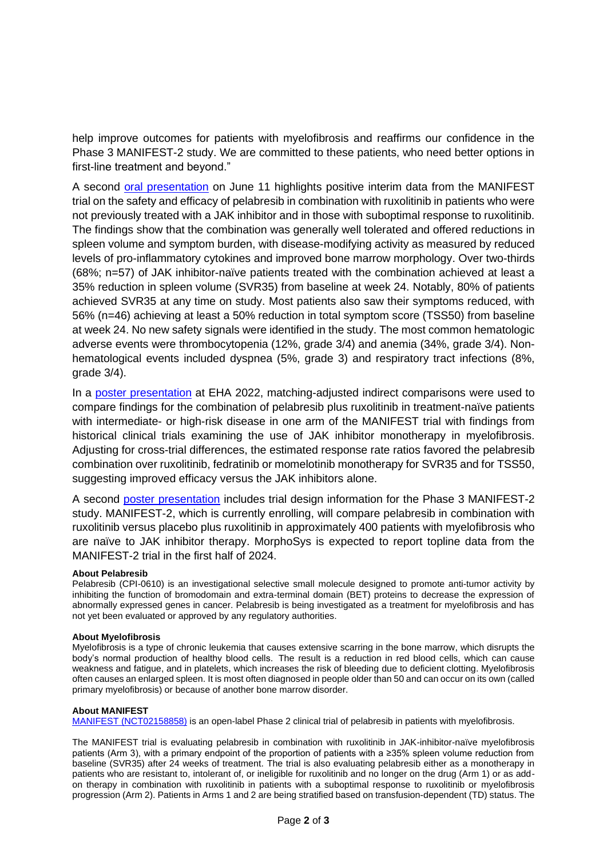help improve outcomes for patients with myelofibrosis and reaffirms our confidence in the Phase 3 MANIFEST-2 study. We are committed to these patients, who need better options in first-line treatment and beyond."

A second [oral presentation](https://library.ehaweb.org/eha/2022/eha2022-congress/357062/john.mascarenhas.bet.inhibitor.pelabresib.28cpi-061029.combined.with.ruxolitinib.html?f=listing%3D0%2Abrowseby%3D8%2Asortby%3D1%2Adate%3D2022-06-04+15%3A55%3A51%2C2022-06-07+15%3A55%3A34%2Asearch%3Dpelabresib) on June 11 highlights positive interim data from the MANIFEST trial on the safety and efficacy of pelabresib in combination with ruxolitinib in patients who were not previously treated with a JAK inhibitor and in those with suboptimal response to ruxolitinib. The findings show that the combination was generally well tolerated and offered reductions in spleen volume and symptom burden, with disease-modifying activity as measured by reduced levels of pro-inflammatory cytokines and improved bone marrow morphology. Over two-thirds (68%; n=57) of JAK inhibitor-naïve patients treated with the combination achieved at least a 35% reduction in spleen volume (SVR35) from baseline at week 24. Notably, 80% of patients achieved SVR35 at any time on study. Most patients also saw their symptoms reduced, with 56% (n=46) achieving at least a 50% reduction in total symptom score (TSS50) from baseline at week 24. No new safety signals were identified in the study. The most common hematologic adverse events were thrombocytopenia (12%, grade 3/4) and anemia (34%, grade 3/4). Nonhematological events included dyspnea (5%, grade 3) and respiratory tract infections (8%, grade 3/4).

In a [poster presentation](https://library.ehaweb.org/eha/2022/eha2022-congress/357888/vikas.gupta.matching-adjusted.indirect.comparison.28maic29.of.pelabresib.html?f=listing%3D0%2Abrowseby%3D8%2Asortby%3D1%2Adate%3D2022-06-04+15%3A55%3A51%2C2022-06-07+15%3A55%3A34%2Asearch%3Dpelabresib) at EHA 2022, matching-adjusted indirect comparisons were used to compare findings for the combination of pelabresib plus ruxolitinib in treatment-naïve patients with intermediate- or high-risk disease in one arm of the MANIFEST trial with findings from historical clinical trials examining the use of JAK inhibitor monotherapy in myelofibrosis. Adjusting for cross-trial differences, the estimated response rate ratios favored the pelabresib combination over ruxolitinib, fedratinib or momelotinib monotherapy for SVR35 and for TSS50, suggesting improved efficacy versus the JAK inhibitors alone.

A second [poster presentation](https://library.ehaweb.org/eha/2022/eha2022-congress/357889/claire.harrison.manifest-2.a.global.phase.3.randomized.double-blind.html?f=listing%3D0%2Abrowseby%3D8%2Asortby%3D1%2Asearch%3Dp1030) includes trial design information for the Phase 3 MANIFEST-2 study. MANIFEST-2, which is currently enrolling, will compare pelabresib in combination with ruxolitinib versus placebo plus ruxolitinib in approximately 400 patients with myelofibrosis who are naïve to JAK inhibitor therapy. MorphoSys is expected to report topline data from the MANIFEST-2 trial in the first half of 2024.

# **About Pelabresib**

Pelabresib (CPI-0610) is an investigational selective small molecule designed to promote anti-tumor activity by inhibiting the function of bromodomain and extra-terminal domain (BET) proteins to decrease the expression of abnormally expressed genes in cancer. Pelabresib is being investigated as a treatment for myelofibrosis and has not yet been evaluated or approved by any regulatory authorities.

# **About Myelofibrosis**

Myelofibrosis is a type of chronic leukemia that causes extensive scarring in the bone marrow, which disrupts the body's normal production of healthy blood cells. The result is a reduction in red blood cells, which can cause weakness and fatigue, and in platelets, which increases the risk of bleeding due to deficient clotting. Myelofibrosis often causes an enlarged spleen. It is most often diagnosed in people older than 50 and can occur on its own (called primary myelofibrosis) or because of another bone marrow disorder.

# **About MANIFEST**

[MANIFEST \(NCT02158858\)](https://clinicaltrials.gov/ct2/show/NCT02158858) is an open-label Phase 2 clinical trial of pelabresib in patients with myelofibrosis.

The MANIFEST trial is evaluating pelabresib in combination with ruxolitinib in JAK-inhibitor-naïve myelofibrosis patients (Arm 3), with a primary endpoint of the proportion of patients with a ≥35% spleen volume reduction from baseline (SVR35) after 24 weeks of treatment. The trial is also evaluating pelabresib either as a monotherapy in patients who are resistant to, intolerant of, or ineligible for ruxolitinib and no longer on the drug (Arm 1) or as addon therapy in combination with ruxolitinib in patients with a suboptimal response to ruxolitinib or myelofibrosis progression (Arm 2). Patients in Arms 1 and 2 are being stratified based on transfusion-dependent (TD) status. The